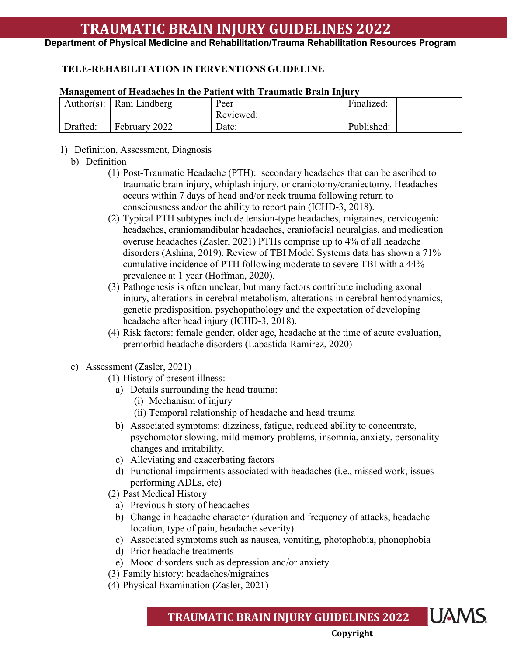**Department of Physical Medicine and Rehabilitation/Trauma Rehabilitation Resources Program**

## **TELE-REHABILITATION INTERVENTIONS GUIDELINE**

### **Management of Headaches in the Patient with Traumatic Brain Injury**

|          | Author(s): $\vert$ Rani Lindberg | Peer<br>Reviewed: | Finalized: |  |
|----------|----------------------------------|-------------------|------------|--|
| Drafted: | February 2022                    | Date:             | Published: |  |

1) Definition, Assessment, Diagnosis

### b) Definition

- (1) Post-Traumatic Headache (PTH): secondary headaches that can be ascribed to traumatic brain injury, whiplash injury, or craniotomy/craniectomy. Headaches occurs within 7 days of head and/or neck trauma following return to consciousness and/or the ability to report pain (ICHD-3, 2018).
- (2) Typical PTH subtypes include tension-type headaches, migraines, cervicogenic headaches, craniomandibular headaches, craniofacial neuralgias, and medication overuse headaches (Zasler, 2021) PTHs comprise up to 4% of all headache disorders (Ashina, 2019). Review of TBI Model Systems data has shown a 71% cumulative incidence of PTH following moderate to severe TBI with a 44% prevalence at 1 year (Hoffman, 2020).
- (3) Pathogenesis is often unclear, but many factors contribute including axonal injury, alterations in cerebral metabolism, alterations in cerebral hemodynamics, genetic predisposition, psychopathology and the expectation of developing headache after head injury (ICHD-3, 2018).
- (4) Risk factors: female gender, older age, headache at the time of acute evaluation, premorbid headache disorders (Labastida-Ramirez, 2020)
- c) Assessment (Zasler, 2021)
	- (1) History of present illness:
		- a) Details surrounding the head trauma:
			- (i) Mechanism of injury
			- (ii) Temporal relationship of headache and head trauma
		- b) Associated symptoms: dizziness, fatigue, reduced ability to concentrate, psychomotor slowing, mild memory problems, insomnia, anxiety, personality changes and irritability.
		- c) Alleviating and exacerbating factors
		- d) Functional impairments associated with headaches (i.e., missed work, issues performing ADLs, etc)
	- (2) Past Medical History
		- a) Previous history of headaches
		- b) Change in headache character (duration and frequency of attacks, headache location, type of pain, headache severity)
		- c) Associated symptoms such as nausea, vomiting, photophobia, phonophobia
		- d) Prior headache treatments
		- e) Mood disorders such as depression and/or anxiety
	- (3) Family history: headaches/migraines
	- (4) Physical Examination (Zasler, 2021)

**UAMS TRAUMATIC BRAIN INJURY GUIDELINES 2022**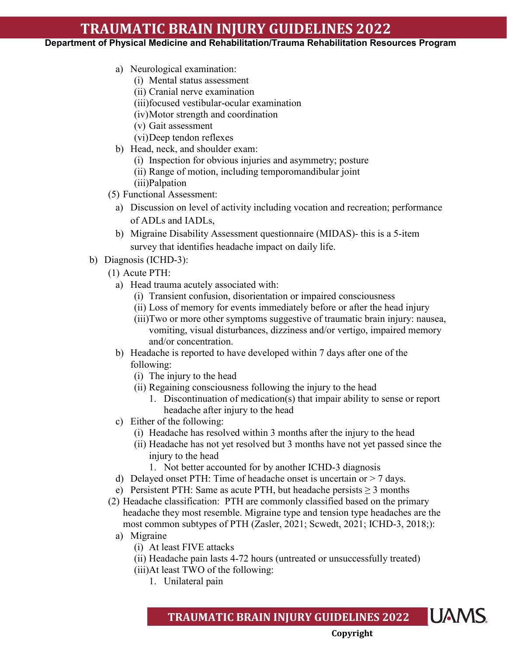### **Department of Physical Medicine and Rehabilitation/Trauma Rehabilitation Resources Program**

- a) Neurological examination:
	- (i) Mental status assessment
	- (ii) Cranial nerve examination
	- (iii)focused vestibular-ocular examination
	- (iv)Motor strength and coordination
	- (v) Gait assessment
	- (vi)Deep tendon reflexes
- b) Head, neck, and shoulder exam:
	- (i) Inspection for obvious injuries and asymmetry; posture
	- (ii) Range of motion, including temporomandibular joint
	- (iii)Palpation
- (5) Functional Assessment:
	- a) Discussion on level of activity including vocation and recreation; performance of ADLs and IADLs,
	- b) Migraine Disability Assessment questionnaire (MIDAS)- this is a 5-item survey that identifies headache impact on daily life.
- b) Diagnosis (ICHD-3):
	- (1) Acute PTH:
		- a) Head trauma acutely associated with:
			- (i) Transient confusion, disorientation or impaired consciousness
			- (ii) Loss of memory for events immediately before or after the head injury
			- (iii)Two or more other symptoms suggestive of traumatic brain injury: nausea, vomiting, visual disturbances, dizziness and/or vertigo, impaired memory and/or concentration.
		- b) Headache is reported to have developed within 7 days after one of the following:
			- (i) The injury to the head
			- (ii) Regaining consciousness following the injury to the head
				- 1. Discontinuation of medication(s) that impair ability to sense or report headache after injury to the head
		- c) Either of the following:
			- (i) Headache has resolved within 3 months after the injury to the head
			- (ii) Headache has not yet resolved but 3 months have not yet passed since the injury to the head
				- 1. Not better accounted for by another ICHD-3 diagnosis
		- d) Delayed onset PTH: Time of headache onset is uncertain or  $> 7$  days.
		- e) Persistent PTH: Same as acute PTH, but headache persists  $\geq 3$  months
	- (2) Headache classification: PTH are commonly classified based on the primary headache they most resemble. Migraine type and tension type headaches are the most common subtypes of PTH (Zasler, 2021; Scwedt, 2021; ICHD-3, 2018;):
		- a) Migraine
			- (i) At least FIVE attacks
			- (ii) Headache pain lasts 4-72 hours (untreated or unsuccessfully treated)
			- (iii)At least TWO of the following:
				- 1. Unilateral pain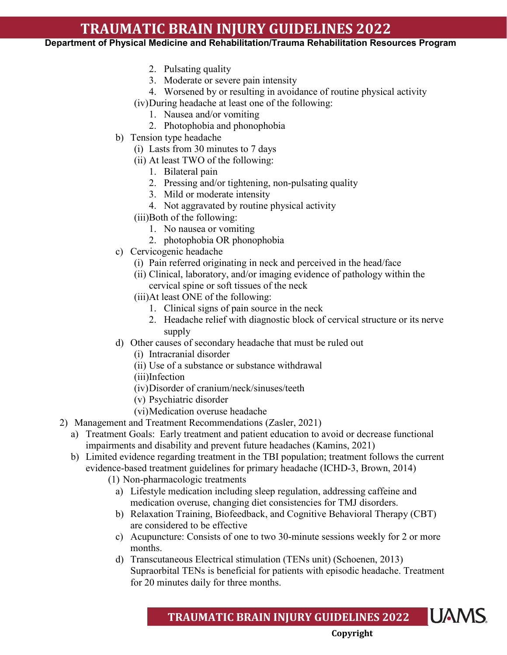**Department of Physical Medicine and Rehabilitation/Trauma Rehabilitation Resources Program**

- 2. Pulsating quality
- 3. Moderate or severe pain intensity
- 4. Worsened by or resulting in avoidance of routine physical activity

(iv)During headache at least one of the following:

- 1. Nausea and/or vomiting
- 2. Photophobia and phonophobia
- b) Tension type headache
	- (i) Lasts from 30 minutes to 7 days
	- (ii) At least TWO of the following:
		- 1. Bilateral pain
		- 2. Pressing and/or tightening, non-pulsating quality
		- 3. Mild or moderate intensity
		- 4. Not aggravated by routine physical activity
	- (iii)Both of the following:
		- 1. No nausea or vomiting
		- 2. photophobia OR phonophobia
- c) Cervicogenic headache
	- (i) Pain referred originating in neck and perceived in the head/face
	- (ii) Clinical, laboratory, and/or imaging evidence of pathology within the cervical spine or soft tissues of the neck
	- (iii)At least ONE of the following:
		- 1. Clinical signs of pain source in the neck
		- 2. Headache relief with diagnostic block of cervical structure or its nerve supply
- d) Other causes of secondary headache that must be ruled out
	- (i) Intracranial disorder
	- (ii) Use of a substance or substance withdrawal
	- (iii)Infection
	- (iv)Disorder of cranium/neck/sinuses/teeth
	- (v) Psychiatric disorder
	- (vi)Medication overuse headache
- 2) Management and Treatment Recommendations (Zasler, 2021)
	- a) Treatment Goals: Early treatment and patient education to avoid or decrease functional impairments and disability and prevent future headaches (Kamins, 2021)
	- b) Limited evidence regarding treatment in the TBI population; treatment follows the current evidence-based treatment guidelines for primary headache (ICHD-3, Brown, 2014)
		- (1) Non-pharmacologic treatments
			- a) Lifestyle medication including sleep regulation, addressing caffeine and medication overuse, changing diet consistencies for TMJ disorders.
			- b) Relaxation Training, Biofeedback, and Cognitive Behavioral Therapy (CBT) are considered to be effective
			- c) Acupuncture: Consists of one to two 30-minute sessions weekly for 2 or more months.
			- d) Transcutaneous Electrical stimulation (TENs unit) (Schoenen, 2013) Supraorbital TENs is beneficial for patients with episodic headache. Treatment for 20 minutes daily for three months.

**IUAMS TRAUMATIC BRAIN INJURY GUIDELINES 2022**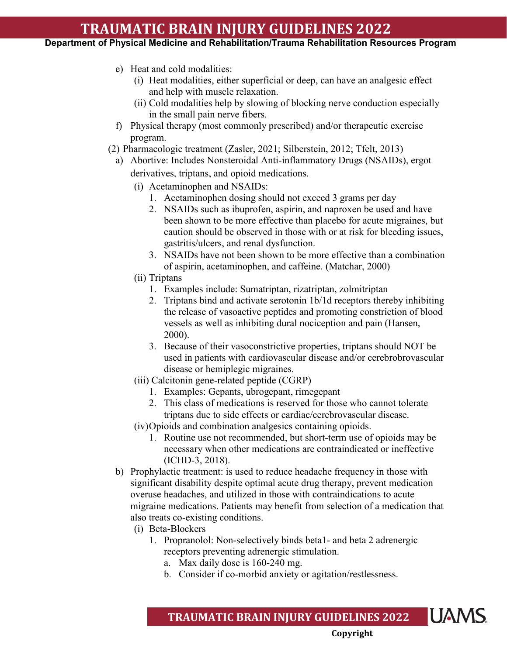**Department of Physical Medicine and Rehabilitation/Trauma Rehabilitation Resources Program**

- e) Heat and cold modalities:
	- (i) Heat modalities, either superficial or deep, can have an analgesic effect and help with muscle relaxation.
	- (ii) Cold modalities help by slowing of blocking nerve conduction especially in the small pain nerve fibers.
- f) Physical therapy (most commonly prescribed) and/or therapeutic exercise program.
- (2) Pharmacologic treatment (Zasler, 2021; Silberstein, 2012; Tfelt, 2013)
	- a) Abortive: Includes Nonsteroidal Anti-inflammatory Drugs (NSAIDs), ergot derivatives, triptans, and opioid medications.
		- (i) Acetaminophen and NSAIDs:
			- 1. Acetaminophen dosing should not exceed 3 grams per day
			- 2. NSAIDs such as ibuprofen, aspirin, and naproxen be used and have been shown to be more effective than placebo for acute migraines, but caution should be observed in those with or at risk for bleeding issues, gastritis/ulcers, and renal dysfunction.
			- 3. NSAIDs have not been shown to be more effective than a combination of aspirin, acetaminophen, and caffeine. (Matchar, 2000)
		- (ii) Triptans
			- 1. Examples include: Sumatriptan, [rizatriptan,](http://www-uptodate-com.libproxy.uams.edu/contents/rizatriptan-drug-information?source=see_link) zolmitriptan
			- 2. Triptans bind and activate serotonin 1b/1d receptors thereby inhibiting the release of vasoactive peptides and promoting constriction of blood vessels as well as inhibiting dural nociception and pain (Hansen, 2000).
			- 3. Because of their vasoconstrictive properties, triptans should NOT be used in patients with cardiovascular disease and/or cerebrobrovascular disease or hemiplegic migraines.
		- (iii) Calcitonin gene-related peptide (CGRP)
			- 1. Examples: Gepants, ubrogepant, rimegepant
			- 2. This class of medications is reserved for those who cannot tolerate triptans due to side effects or cardiac/cerebrovascular disease.
		- (iv)Opioids and combination analgesics containing opioids.
			- 1. Routine use not recommended, but short-term use of opioids may be necessary when other medications are contraindicated or ineffective (ICHD-3, 2018).
	- b) Prophylactic treatment: is used to reduce headache frequency in those with significant disability despite optimal acute drug therapy, prevent medication overuse headaches, and utilized in those with contraindications to acute migraine medications. Patients may benefit from selection of a medication that also treats co-existing conditions.
		- (i) Beta-Blockers
			- 1. Propranolol: Non-selectively binds beta1- and beta 2 adrenergic receptors preventing adrenergic stimulation.
				- a. Max daily dose is 160-240 mg.
				- b. Consider if co-morbid anxiety or agitation/restlessness.

#### **UAMS TRAUMATIC BRAIN INJURY GUIDELINES 2022**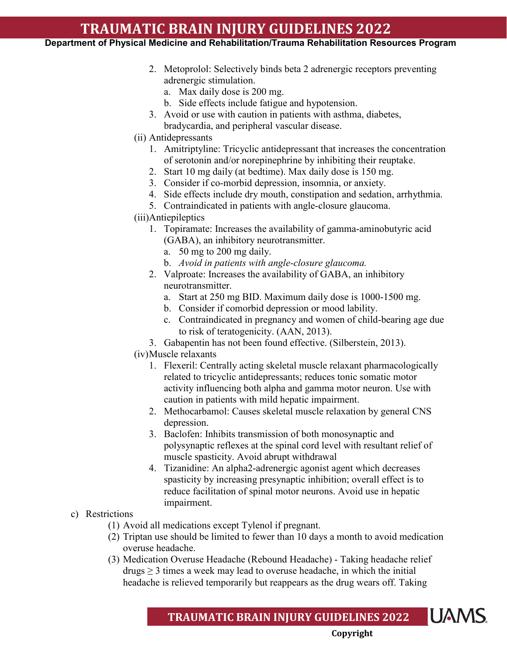### **Department of Physical Medicine and Rehabilitation/Trauma Rehabilitation Resources Program**

- 2. [Metoprolol:](http://www-uptodate-com.libproxy.uams.edu/contents/metoprolol-drug-information?source=see_link) Selectively binds beta 2 adrenergic receptors preventing adrenergic stimulation.
	- a. Max daily dose is 200 mg.
	- b. Side effects include fatigue and hypotension.
- 3. Avoid or use with caution in patients with asthma, diabetes, bradycardia, and peripheral vascular disease.
- (ii) Antidepressants
	- 1. Amitriptyline: Tricyclic antidepressant that increases the concentration of serotonin and/or norepinephrine by inhibiting their reuptake.
	- 2. Start 10 mg daily (at bedtime). Max daily dose is 150 mg.
	- 3. Consider if co-morbid depression, insomnia, or anxiety.
	- 4. Side effects include dry mouth, constipation and sedation, arrhythmia.
	- 5. Contraindicated in patients with angle-closure glaucoma.
- (iii)Antiepileptics
	- 1. Topiramate: Increases the availability of gamma-aminobutyric acid (GABA), an inhibitory neurotransmitter.
		- a. 50 mg to 200 mg daily.
		- b. *Avoid in patients with angle-closure glaucoma.*
	- 2. Valproate: Increases the availability of GABA, an inhibitory neurotransmitter.
		- a. Start at 250 mg BID. Maximum daily dose is 1000-1500 mg.
		- b. Consider if comorbid depression or mood lability.
		- c. Contraindicated in pregnancy and women of child-bearing age due to risk of teratogenicity. (AAN, 2013).
	- 3. Gabapentin has not been found effective. (Silberstein, 2013).
- (iv)Muscle relaxants
	- 1. Flexeril: Centrally acting skeletal muscle relaxant pharmacologically related to tricyclic antidepressants; reduces tonic somatic motor activity influencing both alpha and gamma motor neuron. Use with caution in patients with mild hepatic impairment.
	- 2. Methocarbamol: Causes skeletal muscle relaxation by general CNS depression.
	- 3. Baclofen: Inhibits transmission of both monosynaptic and polysynaptic reflexes at the spinal cord level with resultant relief of muscle spasticity. Avoid abrupt withdrawal
	- 4. Tizanidine: An alpha2-adrenergic agonist agent which decreases spasticity by increasing presynaptic inhibition; overall effect is to reduce facilitation of spinal motor neurons. Avoid use in hepatic impairment.
- c) Restrictions
	- (1) Avoid all medications except Tylenol if pregnant.
	- (2) Triptan use should be limited to fewer than 10 days a month to avoid medication overuse headache.
	- (3) Medication Overuse Headache (Rebound Headache) Taking headache relief  $drys \geq 3$  times a week may lead to overuse headache, in which the initial headache is relieved temporarily but reappears as the drug wears off. Taking

**UAMS TRAUMATIC BRAIN INJURY GUIDELINES 2022**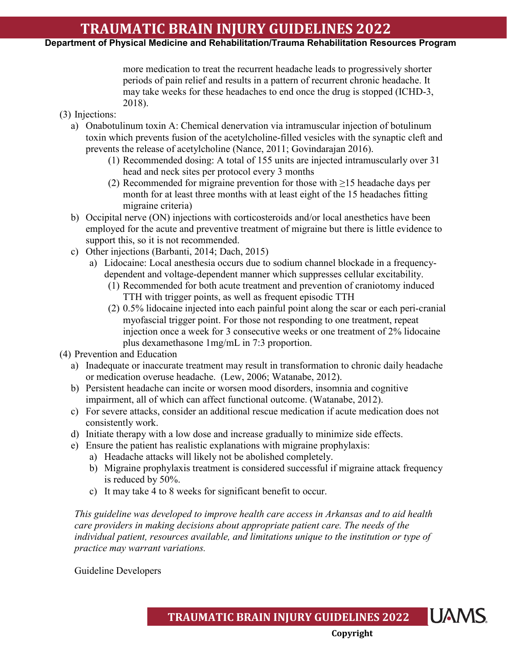### **Department of Physical Medicine and Rehabilitation/Trauma Rehabilitation Resources Program**

more medication to treat the recurrent headache leads to progressively shorter periods of pain relief and results in a pattern of recurrent chronic headache. It may take weeks for these headaches to end once the drug is stopped (ICHD-3, 2018).

- (3) Injections:
	- a) Onabotulinum toxin A: Chemical denervation via intramuscular injection of botulinum toxin which prevents fusion of the acetylcholine-filled vesicles with the synaptic cleft and prevents the release of acetylcholine (Nance, 2011; Govindarajan 2016).
		- (1) Recommended dosing: A total of 155 units are injected intramuscularly over 31 head and neck sites per protocol every 3 months
		- (2) Recommended for migraine prevention for those with  $\geq$ 15 headache days per month for at least three months with at least eight of the 15 headaches fitting migraine criteria)
	- b) Occipital nerve (ON) injections with corticosteroids and/or local anesthetics have been employed for the acute and preventive treatment of migraine but there is little evidence to support this, so it is not recommended.
	- c) Other injections (Barbanti, 2014; Dach, 2015)
		- a) Lidocaine: Local anesthesia occurs due to sodium channel blockade in a frequencydependent and voltage-dependent manner which suppresses cellular excitability.
			- (1) Recommended for both acute treatment and prevention of craniotomy induced TTH with trigger points, as well as frequent episodic TTH
			- (2) 0.5% lidocaine injected into each painful point along the scar or each peri-cranial myofascial trigger point. For those not responding to one treatment, repeat injection once a week for 3 consecutive weeks or one treatment of 2% lidocaine plus dexamethasone 1mg/mL in 7:3 proportion.

(4) Prevention and Education

- a) Inadequate or inaccurate treatment may result in transformation to chronic daily headache or medication overuse headache. (Lew, 2006; Watanabe, 2012).
- b) Persistent headache can incite or worsen mood disorders, insomnia and cognitive impairment, all of which can affect functional outcome. (Watanabe, 2012).
- c) For severe attacks, consider an additional rescue medication if acute medication does not consistently work.
- d) Initiate therapy with a low dose and increase gradually to minimize side effects.
- e) Ensure the patient has realistic explanations with migraine prophylaxis:
	- a) Headache attacks will likely not be abolished completely.
	- b) Migraine prophylaxis treatment is considered successful if migraine attack frequency is reduced by 50%.
	- c) It may take 4 to 8 weeks for significant benefit to occur.

*This guideline was developed to improve health care access in Arkansas and to aid health care providers in making decisions about appropriate patient care. The needs of the individual patient, resources available, and limitations unique to the institution or type of practice may warrant variations.*

Guideline Developers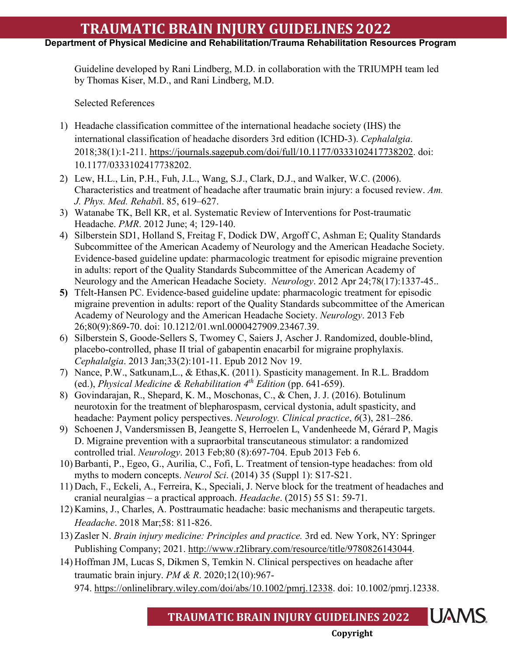**Department of Physical Medicine and Rehabilitation/Trauma Rehabilitation Resources Program**

Guideline developed by Rani Lindberg, M.D. in collaboration with the TRIUMPH team led by Thomas Kiser, M.D., and Rani Lindberg, M.D.

Selected References

- 1) Headache classification committee of the international headache society (IHS) the international classification of headache disorders 3rd edition (ICHD-3). *Cephalalgia*. 2018;38(1):1-211. [https://journals.sagepub.com/doi/full/10.1177/0333102417738202.](https://journals.sagepub.com/doi/full/10.1177/0333102417738202) doi: 10.1177/0333102417738202.
- 2) Lew, H.L., Lin, P.H., Fuh, J.L., Wang, S.J., Clark, D.J., and Walker, W.C. (2006). Characteristics and treatment of headache after traumatic brain injury: a focused review. *Am. J. Phys. Med. Rehabi*l. 85, 619–627.
- 3) Watanabe TK, Bell KR, et al. Systematic Review of Interventions for Post-traumatic Headache. *PMR*. 2012 June; 4; 129-140.
- 4) [Silberstein SD1](http://www.ncbi.nlm.nih.gov/pubmed/?term=Silberstein%20SD%5BAuthor%5D&cauthor=true&cauthor_uid=22529202), [Holland S,](http://www.ncbi.nlm.nih.gov/pubmed/?term=Holland%20S%5BAuthor%5D&cauthor=true&cauthor_uid=22529202) [Freitag F,](http://www.ncbi.nlm.nih.gov/pubmed/?term=Freitag%20F%5BAuthor%5D&cauthor=true&cauthor_uid=22529202) [Dodick DW,](http://www.ncbi.nlm.nih.gov/pubmed/?term=Dodick%20DW%5BAuthor%5D&cauthor=true&cauthor_uid=22529202) [Argoff C,](http://www.ncbi.nlm.nih.gov/pubmed/?term=Argoff%20C%5BAuthor%5D&cauthor=true&cauthor_uid=22529202) [Ashman E;](http://www.ncbi.nlm.nih.gov/pubmed/?term=Ashman%20E%5BAuthor%5D&cauthor=true&cauthor_uid=22529202) [Quality Standards](http://www.ncbi.nlm.nih.gov/pubmed/?term=Quality%20Standards%20Subcommittee%20of%20the%20American%20Academy%20of%20Neurology%20and%20the%20American%20Headache%20Society%5BCorporate%20Author%5D)  [Subcommittee of the American Academy of Neurology and the American Headache Society.](http://www.ncbi.nlm.nih.gov/pubmed/?term=Quality%20Standards%20Subcommittee%20of%20the%20American%20Academy%20of%20Neurology%20and%20the%20American%20Headache%20Society%5BCorporate%20Author%5D) Evidence-based guideline update: pharmacologic treatment for episodic migraine prevention in adults: report of the Quality Standards Subcommittee of the American Academy of Neurology and the American Headache Society. *[Neurology](http://www.ncbi.nlm.nih.gov/pubmed/22529202)*[.](http://www.ncbi.nlm.nih.gov/pubmed/22529202) 2012 Apr 24;78(17):1337-45..
- **5)** [Tfelt-Hansen PC.](http://www.ncbi.nlm.nih.gov/pubmed/?term=Tfelt-Hansen%20PC%5BAuthor%5D&cauthor=true&cauthor_uid=23439705) Evidence-based guideline update: pharmacologic treatment for episodic migraine prevention in adults: report of the Quality Standards subcommittee of the American Academy of Neurology and the American Headache Society. *[Neurology](http://www.ncbi.nlm.nih.gov/pubmed/23439705)*[.](http://www.ncbi.nlm.nih.gov/pubmed/23439705) 2013 Feb 26;80(9):869-70. doi: 10.1212/01.wnl.0000427909.23467.39.
- 6) Silberstein S, Goode-Sellers S, Twomey C, Saiers J, Ascher J. Randomized, double-blind, placebo-controlled, phase II trial of gabapentin enacarbil for migraine prophylaxis. *Cephalalgia*. 2013 Jan;33(2):101-11. Epub 2012 Nov 19.
- 7) Nance, P.W., Satkunam,L., & Ethas,K. (2011). Spasticity management. In R.L. Braddom (ed.), *Physical Medicine & Rehabilitation 4th Edition* (pp. 641-659).
- 8) Govindarajan, R., Shepard, K. M., Moschonas, C., & Chen, J. J. (2016). Botulinum neurotoxin for the treatment of blepharospasm, cervical dystonia, adult spasticity, and headache: Payment policy perspectives. *Neurology. Clinical practice*, *6*(3), 281–286.
- 9) Schoenen J, Vandersmissen B, Jeangette S, Herroelen L, Vandenheede M, Gérard P, Magis D. Migraine prevention with a supraorbital transcutaneous stimulator: a randomized controlled trial. *Neurology*. 2013 Feb;80 (8):697-704. Epub 2013 Feb 6.
- 10) Barbanti, P., Egeo, G., Aurilia, C., Fofi, L. Treatment of tension-type headaches: from old myths to modern concepts. *Neurol Sci*. (2014) 35 (Suppl 1): S17-S21.
- 11) Dach, F., Eckeli, A., Ferreira, K., Speciali, J. Nerve block for the treatment of headaches and cranial neuralgias – a practical approach. *Headache*. (2015) 55 S1: 59-71.
- 12) Kamins, J., Charles, A. Posttraumatic headache: basic mechanisms and therapeutic targets. *Headache*. 2018 Mar;58: 811-826.
- 13) Zasler N. *Brain injury medicine: Principles and practice.* 3rd ed. New York, NY: Springer Publishing Company; 2021. [http://www.r2library.com/resource/title/9780826143044.](http://www.r2library.com/resource/title/9780826143044)
- 14) Hoffman JM, Lucas S, Dikmen S, Temkin N. Clinical perspectives on headache after traumatic brain injury. *PM & R*. 2020;12(10):967- 974. [https://onlinelibrary.wiley.com/doi/abs/10.1002/pmrj.12338.](https://onlinelibrary.wiley.com/doi/abs/10.1002/pmrj.12338) doi: 10.1002/pmrj.12338.

**TRAUMATIC BRAIN INJURY GUIDELINES 2022**